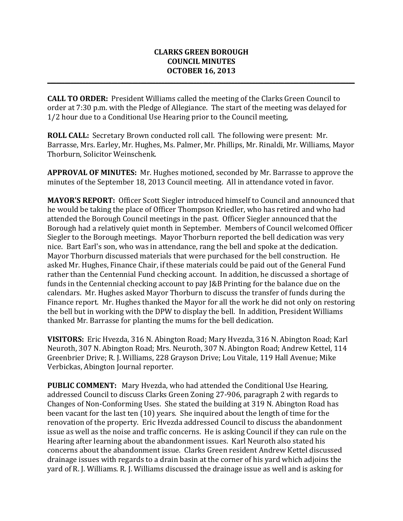## **CLARKS GREEN BOROUGH COUNCIL MINUTES OCTOBER 16, 2013**

**\_\_\_\_\_\_\_\_\_\_\_\_\_\_\_\_\_\_\_\_\_\_\_\_\_\_\_\_\_\_\_\_\_\_\_\_\_\_\_\_\_\_\_\_\_\_\_\_\_\_\_\_\_\_\_\_\_\_\_\_\_\_\_\_\_\_\_\_\_\_\_\_\_\_\_\_\_\_\_\_\_\_\_\_\_\_\_\_\_\_\_\_\_\_\_\_\_\_\_\_\_\_\_\_\_**

**CALL TO ORDER:** President Williams called the meeting of the Clarks Green Council to order at 7:30 p.m. with the Pledge of Allegiance. The start of the meeting was delayed for 1/2 hour due to a Conditional Use Hearing prior to the Council meeting,

**ROLL CALL:** Secretary Brown conducted roll call. The following were present: Mr. Barrasse, Mrs. Earley, Mr. Hughes, Ms. Palmer, Mr. Phillips, Mr. Rinaldi, Mr. Williams, Mayor Thorburn, Solicitor Weinschenk.

**APPROVAL OF MINUTES:** Mr. Hughes motioned, seconded by Mr. Barrasse to approve the minutes of the September 18, 2013 Council meeting. All in attendance voted in favor.

**MAYOR'S REPORT:** Officer Scott Siegler introduced himself to Council and announced that he would be taking the place of Officer Thompson Kriedler, who has retired and who had attended the Borough Council meetings in the past. Officer Siegler announced that the Borough had a relatively quiet month in September. Members of Council welcomed Officer Siegler to the Borough meetings. Mayor Thorburn reported the bell dedication was very nice. Bart Earl's son, who was in attendance, rang the bell and spoke at the dedication. Mayor Thorburn discussed materials that were purchased for the bell construction. He asked Mr. Hughes, Finance Chair, if these materials could be paid out of the General Fund rather than the Centennial Fund checking account. In addition, he discussed a shortage of funds in the Centennial checking account to pay J&B Printing for the balance due on the calendars. Mr. Hughes asked Mayor Thorburn to discuss the transfer of funds during the Finance report. Mr. Hughes thanked the Mayor for all the work he did not only on restoring the bell but in working with the DPW to display the bell. In addition, President Williams thanked Mr. Barrasse for planting the mums for the bell dedication.

**VISITORS:** Eric Hvezda, 316 N. Abington Road; Mary Hvezda, 316 N. Abington Road; Karl Neuroth, 307 N. Abington Road; Mrs. Neuroth, 307 N. Abington Road; Andrew Kettel, 114 Greenbrier Drive; R. J. Williams, 228 Grayson Drive; Lou Vitale, 119 Hall Avenue; Mike Verbickas, Abington Journal reporter.

**PUBLIC COMMENT:** Mary Hvezda, who had attended the Conditional Use Hearing, addressed Council to discuss Clarks Green Zoning 27-906, paragraph 2 with regards to Changes of Non-Conforming Uses. She stated the building at 319 N. Abington Road has been vacant for the last ten (10) years. She inquired about the length of time for the renovation of the property. Eric Hvezda addressed Council to discuss the abandonment issue as well as the noise and traffic concerns. He is asking Council if they can rule on the Hearing after learning about the abandonment issues. Karl Neuroth also stated his concerns about the abandonment issue. Clarks Green resident Andrew Kettel discussed drainage issues with regards to a drain basin at the corner of his yard which adjoins the yard of R. J. Williams. R. J. Williams discussed the drainage issue as well and is asking for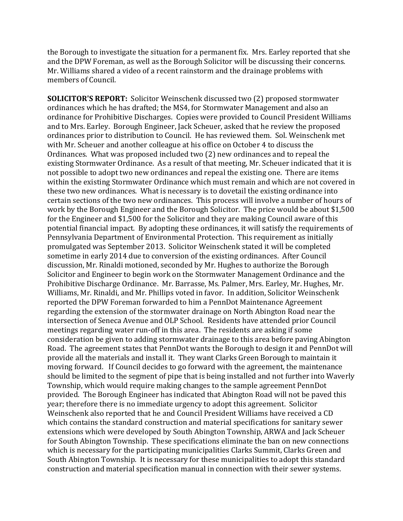the Borough to investigate the situation for a permanent fix. Mrs. Earley reported that she and the DPW Foreman, as well as the Borough Solicitor will be discussing their concerns. Mr. Williams shared a video of a recent rainstorm and the drainage problems with members of Council.

**SOLICITOR'S REPORT:** Solicitor Weinschenk discussed two (2) proposed stormwater ordinances which he has drafted; the MS4, for Stormwater Management and also an ordinance for Prohibitive Discharges. Copies were provided to Council President Williams and to Mrs. Earley. Borough Engineer, Jack Scheuer, asked that he review the proposed ordinances prior to distribution to Council. He has reviewed them. Sol. Weinschenk met with Mr. Scheuer and another colleague at his office on October 4 to discuss the Ordinances. What was proposed included two (2) new ordinances and to repeal the existing Stormwater Ordinance. As a result of that meeting, Mr. Scheuer indicated that it is not possible to adopt two new ordinances and repeal the existing one. There are items within the existing Stormwater Ordinance which must remain and which are not covered in these two new ordinances. What is necessary is to dovetail the existing ordinance into certain sections of the two new ordinances. This process will involve a number of hours of work by the Borough Engineer and the Borough Solicitor. The price would be about \$1,500 for the Engineer and \$1,500 for the Solicitor and they are making Council aware of this potential financial impact. By adopting these ordinances, it will satisfy the requirements of Pennsylvania Department of Environmental Protection. This requirement as initially promulgated was September 2013. Solicitor Weinschenk stated it will be completed sometime in early 2014 due to conversion of the existing ordinances. After Council discussion, Mr. Rinaldi motioned, seconded by Mr. Hughes to authorize the Borough Solicitor and Engineer to begin work on the Stormwater Management Ordinance and the Prohibitive Discharge Ordinance. Mr. Barrasse, Ms. Palmer, Mrs. Earley, Mr. Hughes, Mr. Williams, Mr. Rinaldi, and Mr. Phillips voted in favor. In addition, Solicitor Weinschenk reported the DPW Foreman forwarded to him a PennDot Maintenance Agreement regarding the extension of the stormwater drainage on North Abington Road near the intersection of Seneca Avenue and OLP School. Residents have attended prior Council meetings regarding water run-off in this area. The residents are asking if some consideration be given to adding stormwater drainage to this area before paving Abington Road. The agreement states that PennDot wants the Borough to design it and PennDot will provide all the materials and install it. They want Clarks Green Borough to maintain it moving forward. If Council decides to go forward with the agreement, the maintenance should be limited to the segment of pipe that is being installed and not further into Waverly Township, which would require making changes to the sample agreement PennDot provided. The Borough Engineer has indicated that Abington Road will not be paved this year; therefore there is no immediate urgency to adopt this agreement. Solicitor Weinschenk also reported that he and Council President Williams have received a CD which contains the standard construction and material specifications for sanitary sewer extensions which were developed by South Abington Township, ARWA and Jack Scheuer for South Abington Township. These specifications eliminate the ban on new connections which is necessary for the participating municipalities Clarks Summit, Clarks Green and South Abington Township. It is necessary for these municipalities to adopt this standard construction and material specification manual in connection with their sewer systems.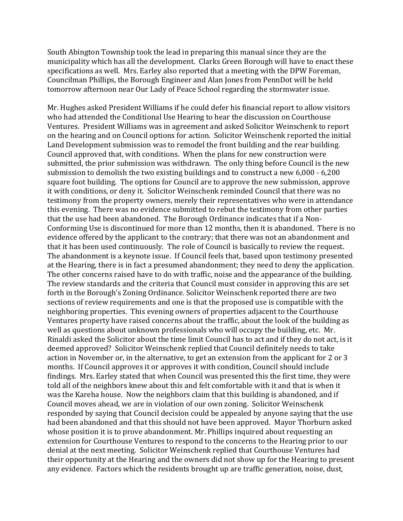South Abington Township took the lead in preparing this manual since they are the municipality which has all the development. Clarks Green Borough will have to enact these specifications as well. Mrs. Earley also reported that a meeting with the DPW Foreman, Councilman Phillips, the Borough Engineer and Alan Jones from PennDot will be held tomorrow afternoon near Our Lady of Peace School regarding the stormwater issue.

Mr. Hughes asked President Williams if he could defer his financial report to allow visitors who had attended the Conditional Use Hearing to hear the discussion on Courthouse Ventures. President Williams was in agreement and asked Solicitor Weinschenk to report on the hearing and on Council options for action. Solicitor Weinschenk reported the initial Land Development submission was to remodel the front building and the rear building. Council approved that, with conditions. When the plans for new construction were submitted, the prior submission was withdrawn. The only thing before Council is the new submission to demolish the two existing buildings and to construct a new 6,000 - 6,200 square foot building. The options for Council are to approve the new submission, approve it with conditions, or deny it. Solicitor Weinschenk reminded Council that there was no testimony from the property owners, merely their representatives who were in attendance this evening. There was no evidence submitted to rebut the testimony from other parties that the use had been abandoned. The Borough Ordinance indicates that if a Non-Conforming Use is discontinued for more than 12 months, then it is abandoned. There is no evidence offered by the applicant to the contrary; that there was not an abandonment and that it has been used continuously. The role of Council is basically to review the request. The abandonment is a keynote issue. If Council feels that, based upon testimony presented at the Hearing, there is in fact a presumed abandonment; they need to deny the application. The other concerns raised have to do with traffic, noise and the appearance of the building. The review standards and the criteria that Council must consider in approving this are set forth in the Borough's Zoning Ordinance. Solicitor Weinschenk reported there are two sections of review requirements and one is that the proposed use is compatible with the neighboring properties. This evening owners of properties adjacent to the Courthouse Ventures property have raised concerns about the traffic, about the look of the building as well as questions about unknown professionals who will occupy the building, etc. Mr. Rinaldi asked the Solicitor about the time limit Council has to act and if they do not act, is it deemed approved? Solicitor Weinschenk replied that Council definitely needs to take action in November or, in the alternative, to get an extension from the applicant for 2 or 3 months. If Council approves it or approves it with condition, Council should include findings. Mrs. Earley stated that when Council was presented this the first time, they were told all of the neighbors knew about this and felt comfortable with it and that is when it was the Kareha house. Now the neighbors claim that this building is abandoned, and if Council moves ahead, we are in violation of our own zoning. Solicitor Weinschenk responded by saying that Council decision could be appealed by anyone saying that the use had been abandoned and that this should not have been approved. Mayor Thorburn asked whose position it is to prove abandonment. Mr. Phillips inquired about requesting an extension for Courthouse Ventures to respond to the concerns to the Hearing prior to our denial at the next meeting. Solicitor Weinschenk replied that Courthouse Ventures had their opportunity at the Hearing and the owners did not show up for the Hearing to present any evidence. Factors which the residents brought up are traffic generation, noise, dust,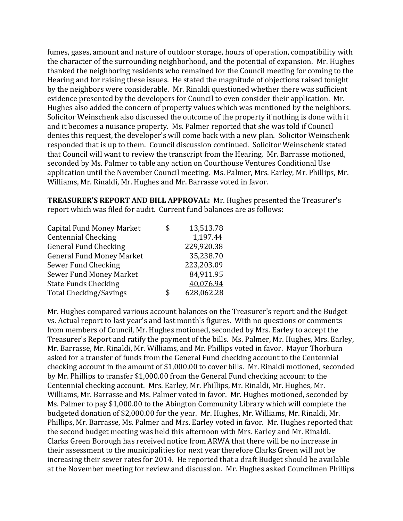fumes, gases, amount and nature of outdoor storage, hours of operation, compatibility with the character of the surrounding neighborhood, and the potential of expansion. Mr. Hughes thanked the neighboring residents who remained for the Council meeting for coming to the Hearing and for raising these issues. He stated the magnitude of objections raised tonight by the neighbors were considerable. Mr. Rinaldi questioned whether there was sufficient evidence presented by the developers for Council to even consider their application. Mr. Hughes also added the concern of property values which was mentioned by the neighbors. Solicitor Weinschenk also discussed the outcome of the property if nothing is done with it and it becomes a nuisance property. Ms. Palmer reported that she was told if Council denies this request, the developer's will come back with a new plan. Solicitor Weinschenk responded that is up to them. Council discussion continued. Solicitor Weinschenk stated that Council will want to review the transcript from the Hearing. Mr. Barrasse motioned, seconded by Ms. Palmer to table any action on Courthouse Ventures Conditional Use application until the November Council meeting. Ms. Palmer, Mrs. Earley, Mr. Phillips, Mr. Williams, Mr. Rinaldi, Mr. Hughes and Mr. Barrasse voted in favor.

**TREASURER'S REPORT AND BILL APPROVAL:** Mr. Hughes presented the Treasurer's report which was filed for audit. Current fund balances are as follows:

| S  | 13,513.78  |
|----|------------|
|    | 1,197.44   |
|    | 229,920.38 |
|    | 35,238.70  |
|    | 223,203.09 |
|    | 84,911.95  |
|    | 40,076.94  |
| \$ | 628,062.28 |
|    |            |

Mr. Hughes compared various account balances on the Treasurer's report and the Budget vs. Actual report to last year's and last month's figures. With no questions or comments from members of Council, Mr. Hughes motioned, seconded by Mrs. Earley to accept the Treasurer's Report and ratify the payment of the bills. Ms. Palmer, Mr. Hughes, Mrs. Earley, Mr. Barrasse, Mr. Rinaldi, Mr. Williams, and Mr. Phillips voted in favor. Mayor Thorburn asked for a transfer of funds from the General Fund checking account to the Centennial checking account in the amount of \$1,000.00 to cover bills. Mr. Rinaldi motioned, seconded by Mr. Phillips to transfer \$1,000.00 from the General Fund checking account to the Centennial checking account. Mrs. Earley, Mr. Phillips, Mr. Rinaldi, Mr. Hughes, Mr. Williams, Mr. Barrasse and Ms. Palmer voted in favor. Mr. Hughes motioned, seconded by Ms. Palmer to pay \$1,000.00 to the Abington Community Library which will complete the budgeted donation of \$2,000.00 for the year. Mr. Hughes, Mr. Williams, Mr. Rinaldi, Mr. Phillips, Mr. Barrasse, Ms. Palmer and Mrs. Earley voted in favor. Mr. Hughes reported that the second budget meeting was held this afternoon with Mrs. Earley and Mr. Rinaldi. Clarks Green Borough has received notice from ARWA that there will be no increase in their assessment to the municipalities for next year therefore Clarks Green will not be increasing their sewer rates for 2014. He reported that a draft Budget should be available at the November meeting for review and discussion. Mr. Hughes asked Councilmen Phillips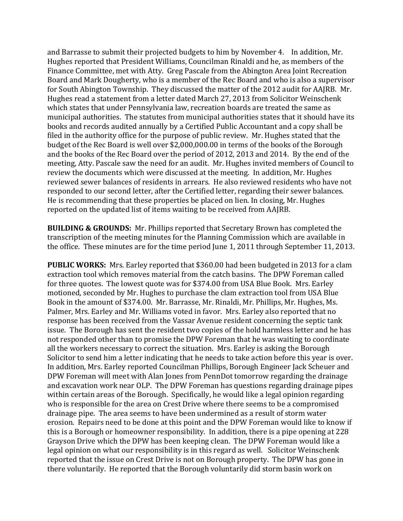and Barrasse to submit their projected budgets to him by November 4. In addition, Mr. Hughes reported that President Williams, Councilman Rinaldi and he, as members of the Finance Committee, met with Atty. Greg Pascale from the Abington Area Joint Recreation Board and Mark Dougherty, who is a member of the Rec Board and who is also a supervisor for South Abington Township. They discussed the matter of the 2012 audit for AAJRB. Mr. Hughes read a statement from a letter dated March 27, 2013 from Solicitor Weinschenk which states that under Pennsylvania law, recreation boards are treated the same as municipal authorities. The statutes from municipal authorities states that it should have its books and records audited annually by a Certified Public Accountant and a copy shall be filed in the authority office for the purpose of public review. Mr. Hughes stated that the budget of the Rec Board is well over \$2,000,000.00 in terms of the books of the Borough and the books of the Rec Board over the period of 2012, 2013 and 2014. By the end of the meeting, Atty. Pascale saw the need for an audit. Mr. Hughes invited members of Council to review the documents which were discussed at the meeting. In addition, Mr. Hughes reviewed sewer balances of residents in arrears. He also reviewed residents who have not responded to our second letter, after the Certified letter, regarding their sewer balances. He is recommending that these properties be placed on lien. In closing, Mr. Hughes reported on the updated list of items waiting to be received from AAJRB.

**BUILDING & GROUNDS:** Mr. Phillips reported that Secretary Brown has completed the transcription of the meeting minutes for the Planning Commission which are available in the office. These minutes are for the time period June 1, 2011 through September 11, 2013.

**PUBLIC WORKS:** Mrs. Earley reported that \$360.00 had been budgeted in 2013 for a clam extraction tool which removes material from the catch basins. The DPW Foreman called for three quotes. The lowest quote was for \$374.00 from USA Blue Book. Mrs. Earley motioned, seconded by Mr. Hughes to purchase the clam extraction tool from USA Blue Book in the amount of \$374.00. Mr. Barrasse, Mr. Rinaldi, Mr. Phillips, Mr. Hughes, Ms. Palmer, Mrs. Earley and Mr. Williams voted in favor. Mrs. Earley also reported that no response has been received from the Vassar Avenue resident concerning the septic tank issue. The Borough has sent the resident two copies of the hold harmless letter and he has not responded other than to promise the DPW Foreman that he was waiting to coordinate all the workers necessary to correct the situation. Mrs. Earley is asking the Borough Solicitor to send him a letter indicating that he needs to take action before this year is over. In addition, Mrs. Earley reported Councilman Phillips, Borough Engineer Jack Scheuer and DPW Foreman will meet with Alan Jones from PennDot tomorrow regarding the drainage and excavation work near OLP. The DPW Foreman has questions regarding drainage pipes within certain areas of the Borough. Specifically, he would like a legal opinion regarding who is responsible for the area on Crest Drive where there seems to be a compromised drainage pipe. The area seems to have been undermined as a result of storm water erosion. Repairs need to be done at this point and the DPW Foreman would like to know if this is a Borough or homeowner responsibility. In addition, there is a pipe opening at 228 Grayson Drive which the DPW has been keeping clean. The DPW Foreman would like a legal opinion on what our responsibility is in this regard as well. Solicitor Weinschenk reported that the issue on Crest Drive is not on Borough property. The DPW has gone in there voluntarily. He reported that the Borough voluntarily did storm basin work on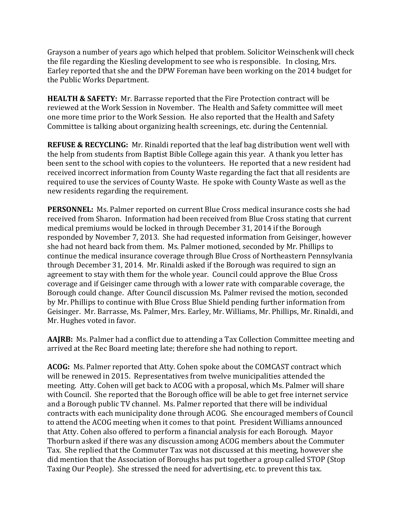Grayson a number of years ago which helped that problem. Solicitor Weinschenk will check the file regarding the Kiesling development to see who is responsible. In closing, Mrs. Earley reported that she and the DPW Foreman have been working on the 2014 budget for the Public Works Department.

**HEALTH & SAFETY:** Mr. Barrasse reported that the Fire Protection contract will be reviewed at the Work Session in November. The Health and Safety committee will meet one more time prior to the Work Session. He also reported that the Health and Safety Committee is talking about organizing health screenings, etc. during the Centennial.

**REFUSE & RECYCLING:** Mr. Rinaldi reported that the leaf bag distribution went well with the help from students from Baptist Bible College again this year. A thank you letter has been sent to the school with copies to the volunteers. He reported that a new resident had received incorrect information from County Waste regarding the fact that all residents are required to use the services of County Waste. He spoke with County Waste as well as the new residents regarding the requirement.

**PERSONNEL:** Ms. Palmer reported on current Blue Cross medical insurance costs she had received from Sharon. Information had been received from Blue Cross stating that current medical premiums would be locked in through December 31, 2014 if the Borough responded by November 7, 2013. She had requested information from Geisinger, however she had not heard back from them. Ms. Palmer motioned, seconded by Mr. Phillips to continue the medical insurance coverage through Blue Cross of Northeastern Pennsylvania through December 31, 2014. Mr. Rinaldi asked if the Borough was required to sign an agreement to stay with them for the whole year. Council could approve the Blue Cross coverage and if Geisinger came through with a lower rate with comparable coverage, the Borough could change. After Council discussion Ms. Palmer revised the motion, seconded by Mr. Phillips to continue with Blue Cross Blue Shield pending further information from Geisinger. Mr. Barrasse, Ms. Palmer, Mrs. Earley, Mr. Williams, Mr. Phillips, Mr. Rinaldi, and Mr. Hughes voted in favor.

**AAJRB:** Ms. Palmer had a conflict due to attending a Tax Collection Committee meeting and arrived at the Rec Board meeting late; therefore she had nothing to report.

**ACOG:** Ms. Palmer reported that Atty. Cohen spoke about the COMCAST contract which will be renewed in 2015. Representatives from twelve municipalities attended the meeting. Atty. Cohen will get back to ACOG with a proposal, which Ms. Palmer will share with Council. She reported that the Borough office will be able to get free internet service and a Borough public TV channel. Ms. Palmer reported that there will be individual contracts with each municipality done through ACOG. She encouraged members of Council to attend the ACOG meeting when it comes to that point. President Williams announced that Atty. Cohen also offered to perform a financial analysis for each Borough. Mayor Thorburn asked if there was any discussion among ACOG members about the Commuter Tax. She replied that the Commuter Tax was not discussed at this meeting, however she did mention that the Association of Boroughs has put together a group called STOP (Stop Taxing Our People). She stressed the need for advertising, etc. to prevent this tax.